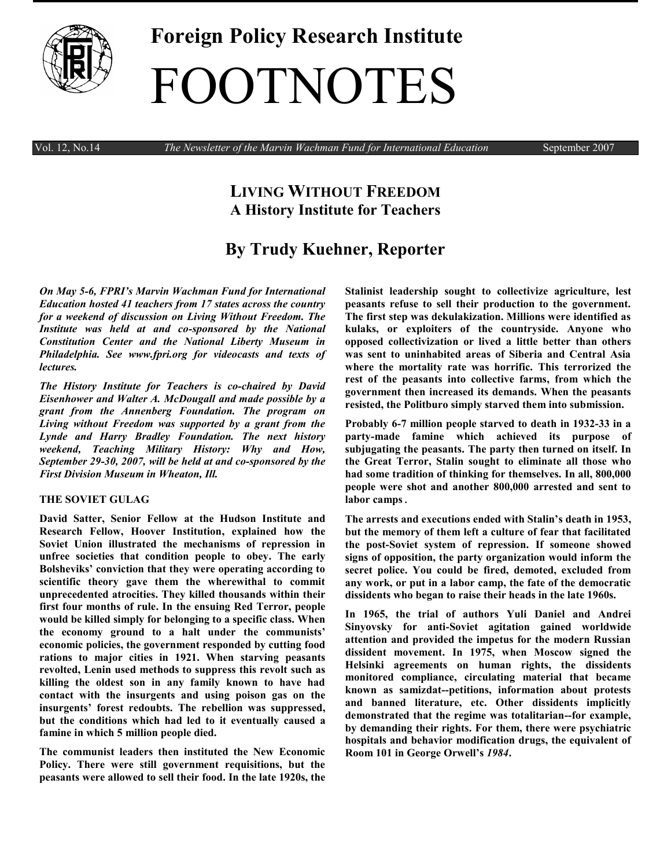

# **Foreign Policy Research Institute** FOOTNOTES

Vol. 12, No.14 *The Newsletter of the Marvin Wachman Fund for International Education* September 2007

# **LIVING WITHOUT FREEDOM A History Institute for Teachers**

# **By Trudy Kuehner, Reporter**

*On May 5-6, FPRI's [Marvin Wachman Fund for International](http://www.fpri.org/education/wachman.html)  [Education](http://www.fpri.org/education/wachman.html) hosted 41 teachers from 17 states across the country for a weekend of discussion on Living Without Freedom. The Institute was held at and co-sponsored by the National Constitution Center and the National Liberty Museum in Philadelphia. See www.fpri.org for videocasts and texts of lectures.* 

*The [History Institute for Teachers](http://www.fpri.org/education/historyacademy.html) is co-chaired by [David](http://www.fpri.org/about/people/eisenhower.html)  [Eisenhower](http://www.fpri.org/about/people/eisenhower.html) and [Walter A. McDougall](http://www.fpri.org/about/people/mcdougall.html) and made possible by a grant from the Annenberg Foundation. The program on Living without Freedom was supported by a grant from the Lynde and Harry Bradley Foundation. The next history weekend, Teaching Military History: Why and How, September 29-30, 2007, will be held at and co-sponsored by the First Division Museum in Wheaton, Ill.*

# **THE SOVIET GULAG**

**[David Satter,](http://www.hoover.org/bios/satter.html) Senior Fellow at the Hudson Institute and Research Fellow, Hoover Institution, explained how the Soviet Union illustrated the mechanisms of repression in unfree societies that condition people to obey. The early Bolsheviks' conviction that they were operating according to scientific theory gave them the wherewithal to commit unprecedented atrocities. They killed thousands within their first four months of rule. In the ensuing Red Terror, people would be killed simply for belonging to a specific class. When the economy ground to a halt under the communists' economic policies, the government responded by cutting food rations to major cities in 1921. When starving peasants revolted, Lenin used methods to suppress this revolt such as killing the oldest son in any family known to have had contact with the insurgents and using poison gas on the insurgents' forest redoubts. The rebellion was suppressed, but the conditions which had led to it eventually caused a famine in which 5 million people died.**

**The communist leaders then instituted the New Economic Policy. There were still government requisitions, but the peasants were allowed to sell their food. In the late 1920s, the**  **Stalinist leadership sought to collectivize agriculture, lest peasants refuse to sell their production to the government. The first step was dekulakization. Millions were identified as kulaks, or exploiters of the countryside. Anyone who opposed collectivization or lived a little better than others was sent to uninhabited areas of Siberia and Central Asia where the mortality rate was horrific. This terrorized the rest of the peasants into collective farms, from which the government then increased its demands. When the peasants resisted, the Politburo simply starved them into submission.**

**Probably 6-7 million people starved to death in 1932-33 in a party-made famine which achieved its purpose of subjugating the peasants. The party then turned on itself. In the Great Terror, Stalin sought to eliminate all those who had some tradition of thinking for themselves. In all, 800,000 people were shot and another 800,000 arrested and sent to labor camps**.

**The arrests and executions ended with Stalin's death in 1953, but the memory of them left a culture of fear that facilitated the post-Soviet system of repression. If someone showed signs of opposition, the party organization would inform the secret police. You could be fired, demoted, excluded from any work, or put in a labor camp, the fate of the democratic dissidents who began to raise their heads in the late 1960s.** 

**In 1965, the trial of authors Yuli Daniel and Andrei Sinyovsky for anti-Soviet agitation gained worldwide attention and provided the impetus for the modern Russian dissident movement. In 1975, when Moscow signed the Helsinki agreements on human rights, the dissidents monitored compliance, circulating material that became known as samizdat--petitions, information about protests and banned literature, etc. Other dissidents implicitly demonstrated that the regime was totalitarian--for example, by demanding their rights. For them, there were psychiatric hospitals and behavior modification drugs, the equivalent of Room 101 in George Orwell's** *1984***.**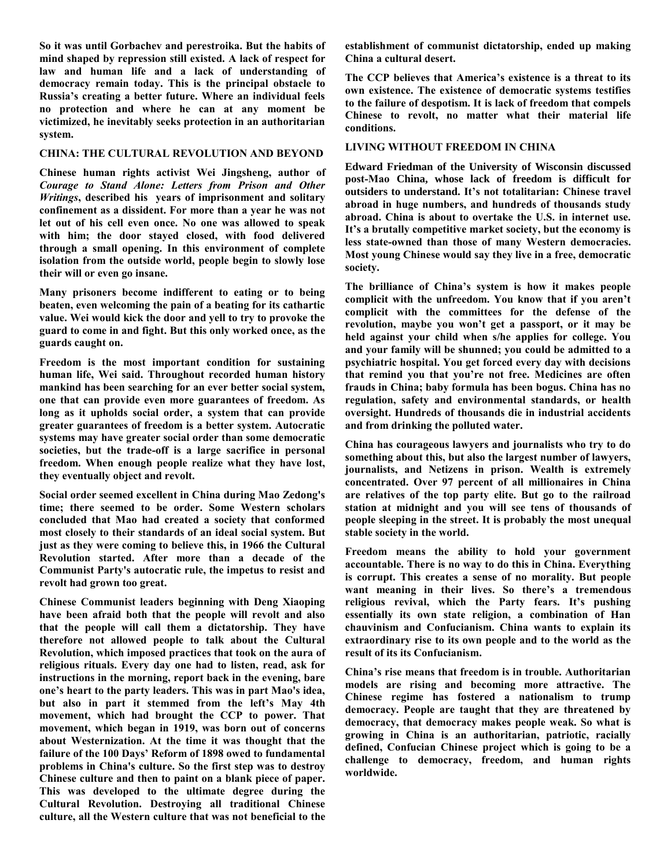**So it was until Gorbachev and perestroika. But the habits of mind shaped by repression still existed. A lack of respect for law and human life and a lack of understanding of democracy remain today. This is the principal obstacle to Russia's creating a better future. Where an individual feels no protection and where he can at any moment be victimized, he inevitably seeks protection in an authoritarian system.** 

## **CHINA: THE CULTURAL REVOLUTION AND BEYOND**

**Chinese human rights activist [Wei Jingsheng,](http://en.wikipedia.org/wiki/Wei_Jingsheng) author of**  *Courage to Stand Alone: Letters from Prison and Other Writings***, described his years of imprisonment and solitary confinement as a dissident. For more than a year he was not let out of his cell even once. No one was allowed to speak with him; the door stayed closed, with food delivered through a small opening. In this environment of complete isolation from the outside world, people begin to slowly lose their will or even go insane.** 

**Many prisoners become indifferent to eating or to being beaten, even welcoming the pain of a beating for its cathartic value. Wei would kick the door and yell to try to provoke the guard to come in and fight. But this only worked once, as the guards caught on.** 

**Freedom is the most important condition for sustaining human life, Wei said. Throughout recorded human history mankind has been searching for an ever better social system, one that can provide even more guarantees of freedom. As long as it upholds social order, a system that can provide greater guarantees of freedom is a better system. Autocratic systems may have greater social order than some democratic societies, but the trade-off is a large sacrifice in personal freedom. When enough people realize what they have lost, they eventually object and revolt.** 

**Social order seemed excellent in China during Mao Zedong's time; there seemed to be order. Some Western scholars concluded that Mao had created a society that conformed most closely to their standards of an ideal social system. But just as they were coming to believe this, in 1966 the Cultural Revolution started. After more than a decade of the Communist Party's autocratic rule, the impetus to resist and revolt had grown too great.**

**Chinese Communist leaders beginning with Deng Xiaoping have been afraid both that the people will revolt and also that the people will call them a dictatorship. They have therefore not allowed people to talk about the Cultural Revolution, which imposed practices that took on the aura of religious rituals. Every day one had to listen, read, ask for instructions in the morning, report back in the evening, bare one's heart to the party leaders. This was in part Mao's idea, but also in part it stemmed from the left's May 4th movement, which had brought the CCP to power. That movement, which began in 1919, was born out of concerns about Westernization. At the time it was thought that the failure of the 100 Days' Reform of 1898 owed to fundamental problems in China's culture. So the first step was to destroy Chinese culture and then to paint on a blank piece of paper. This was developed to the ultimate degree during the Cultural Revolution. Destroying all traditional Chinese culture, all the Western culture that was not beneficial to the** 

**establishment of communist dictatorship, ended up making China a cultural desert.** 

**The CCP believes that America's existence is a threat to its own existence. The existence of democratic systems testifies to the failure of despotism. It is lack of freedom that compels Chinese to revolt, no matter what their material life conditions.**

# **LIVING WITHOUT FREEDOM IN CHINA**

**[Edward Friedman](http://polisci.wisc.edu/facultystaff/faculty/index.php?id=25&show=facdir) of the University of Wisconsin discussed post-Mao China, whose lack of freedom is difficult for outsiders to understand. It's not totalitarian: Chinese travel abroad in huge numbers, and hundreds of thousands study abroad. China is about to overtake the U.S. in internet use. It's a brutally competitive market society, but the economy is less state-owned than those of many Western democracies. Most young Chinese would say they live in a free, democratic society.** 

**The brilliance of China's system is how it makes people complicit with the unfreedom. You know that if you aren't complicit with the committees for the defense of the revolution, maybe you won't get a passport, or it may be held against your child when s/he applies for college. You and your family will be shunned; you could be admitted to a psychiatric hospital. You get forced every day with decisions that remind you that you're not free. Medicines are often frauds in China; baby formula has been bogus. China has no regulation, safety and environmental standards, or health oversight. Hundreds of thousands die in industrial accidents and from drinking the polluted water.**

**China has courageous lawyers and journalists who try to do something about this, but also the largest number of lawyers, journalists, and Netizens in prison. Wealth is extremely concentrated. Over 97 percent of all millionaires in China are relatives of the top party elite. But go to the railroad station at midnight and you will see tens of thousands of people sleeping in the street. It is probably the most unequal stable society in the world.** 

**Freedom means the ability to hold your government accountable. There is no way to do this in China. Everything is corrupt. This creates a sense of no morality. But people want meaning in their lives. So there's a tremendous religious revival, which the Party fears. It's pushing essentially its own state religion, a combination of Han chauvinism and Confucianism. China wants to explain its extraordinary rise to its own people and to the world as the result of its its Confucianism.** 

**China's rise means that freedom is in trouble. Authoritarian models are rising and becoming more attractive. The Chinese regime has fostered a nationalism to trump democracy. People are taught that they are threatened by democracy, that democracy makes people weak. So what is growing in China is an authoritarian, patriotic, racially defined, Confucian Chinese project which is going to be a challenge to democracy, freedom, and human rights worldwide.**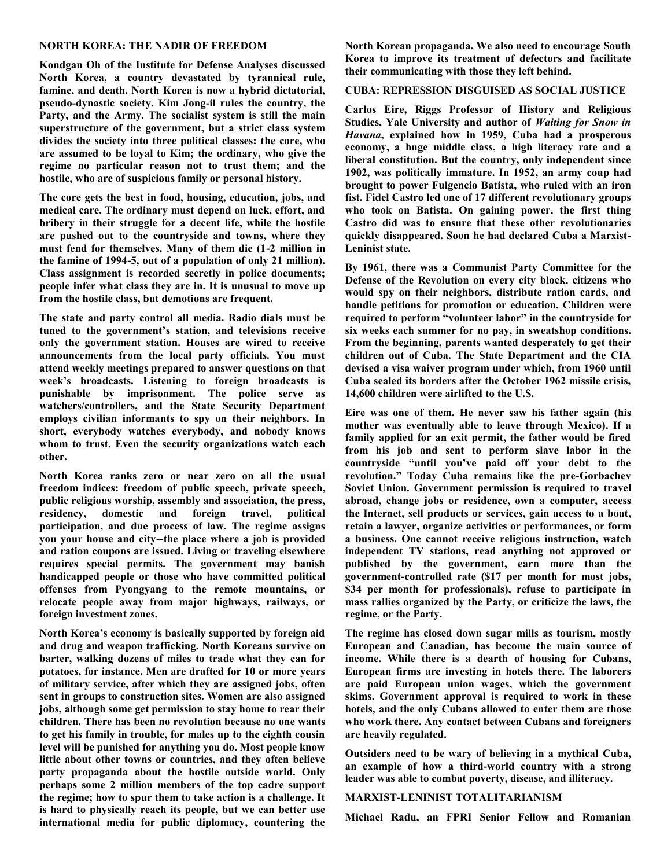#### **NORTH KOREA: THE NADIR OF FREEDOM**

**[Kondgan Oh](http://mysite.verizon.net/kohrch/Page2.htm) of the Institute for Defense Analyses discussed North Korea, a country devastated by tyrannical rule, famine, and death. North Korea is now a hybrid dictatorial, pseudo-dynastic society. Kim Jong-il rules the country, the Party, and the Army. The socialist system is still the main superstructure of the government, but a strict class system divides the society into three political classes: the core, who are assumed to be loyal to Kim; the ordinary, who give the regime no particular reason not to trust them; and the hostile, who are of suspicious family or personal history.** 

**The core gets the best in food, housing, education, jobs, and medical care. The ordinary must depend on luck, effort, and bribery in their struggle for a decent life, while the hostile are pushed out to the countryside and towns, where they must fend for themselves. Many of them die (1-2 million in the famine of 1994-5, out of a population of only 21 million). Class assignment is recorded secretly in police documents; people infer what class they are in. It is unusual to move up from the hostile class, but demotions are frequent.** 

**The state and party control all media. Radio dials must be tuned to the government's station, and televisions receive only the government station. Houses are wired to receive announcements from the local party officials. You must attend weekly meetings prepared to answer questions on that week's broadcasts. Listening to foreign broadcasts is punishable by imprisonment. The police serve as watchers/controllers, and the State Security Department employs civilian informants to spy on their neighbors. In short, everybody watches everybody, and nobody knows whom to trust. Even the security organizations watch each other.** 

**North Korea ranks zero or near zero on all the usual freedom indices: freedom of public speech, private speech, public religious worship, assembly and association, the press, residency, domestic and foreign travel, political participation, and due process of law. The regime assigns you your house and city--the place where a job is provided and ration coupons are issued. Living or traveling elsewhere requires special permits. The government may banish handicapped people or those who have committed political offenses from Pyongyang to the remote mountains, or relocate people away from major highways, railways, or foreign investment zones.**

**North Korea's economy is basically supported by foreign aid and drug and weapon trafficking. North Koreans survive on barter, walking dozens of miles to trade what they can for potatoes, for instance. Men are drafted for 10 or more years of military service, after which they are assigned jobs, often sent in groups to construction sites. Women are also assigned jobs, although some get permission to stay home to rear their children. There has been no revolution because no one wants to get his family in trouble, for males up to the eighth cousin level will be punished for anything you do. Most people know little about other towns or countries, and they often believe party propaganda about the hostile outside world. Only perhaps some 2 million members of the top cadre support the regime; how to spur them to take action is a challenge. It is hard to physically reach its people, but we can better use international media for public diplomacy, countering the** 

**North Korean propaganda. We also need to encourage South Korea to improve its treatment of defectors and facilitate their communicating with those they left behind.**

# **CUBA: REPRESSION DISGUISED AS SOCIAL JUSTICE**

**[Carlos Eire,](http://www.yale.edu/history/faculty/eire.html) Riggs Professor of History and Religious Studies, Yale University and author of** *[Waiting for Snow in](http://libwww.library.phila.gov/onebook/obop07/books.cfm)  [Havana](http://libwww.library.phila.gov/onebook/obop07/books.cfm)***, explained how in 1959, Cuba had a prosperous economy, a huge middle class, a high literacy rate and a liberal constitution. But the country, only independent since 1902, was politically immature. In 1952, an army coup had brought to power Fulgencio Batista, who ruled with an iron fist. Fidel Castro led one of 17 different revolutionary groups who took on Batista. On gaining power, the first thing Castro did was to ensure that these other revolutionaries quickly disappeared. Soon he had declared Cuba a Marxist-Leninist state.** 

**By 1961, there was a Communist Party Committee for the Defense of the Revolution on every city block, citizens who would spy on their neighbors, distribute ration cards, and handle petitions for promotion or education. Children were required to perform "volunteer labor" in the countryside for six weeks each summer for no pay, in sweatshop conditions. From the beginning, parents wanted desperately to get their children out of Cuba. The State Department and the CIA devised a visa waiver program under which, from 1960 until Cuba sealed its borders after the October 1962 missile crisis, 14,600 children were airlifted to the U.S.**

**Eire was one of them. He never saw his father again (his mother was eventually able to leave through Mexico). If a family applied for an exit permit, the father would be fired from his job and sent to perform slave labor in the countryside "until you've paid off your debt to the revolution." Today Cuba remains like the pre-Gorbachev Soviet Union. Government permission is required to travel abroad, change jobs or residence, own a computer, access the Internet, sell products or services, gain access to a boat, retain a lawyer, organize activities or performances, or form a business. One cannot receive religious instruction, watch independent TV stations, read anything not approved or published by the government, earn more than the government-controlled rate (\$17 per month for most jobs, \$34 per month for professionals), refuse to participate in mass rallies organized by the Party, or criticize the laws, the regime, or the Party.**

**The regime has closed down sugar mills as tourism, mostly European and Canadian, has become the main source of income. While there is a dearth of housing for Cubans, European firms are investing in hotels there. The laborers are paid European union wages, which the government skims. Government approval is required to work in these hotels, and the only Cubans allowed to enter them are those who work there. Any contact between Cubans and foreigners are heavily regulated.** 

**Outsiders need to be wary of believing in a mythical Cuba, an example of how a third-world country with a strong leader was able to combat poverty, disease, and illiteracy.**

#### **MARXIST-LENINIST TOTALITARIANISM**

**[Michael Radu,](http://www.fpri.org/about/people/radu.html) an FPRI Senior Fellow and Romanian**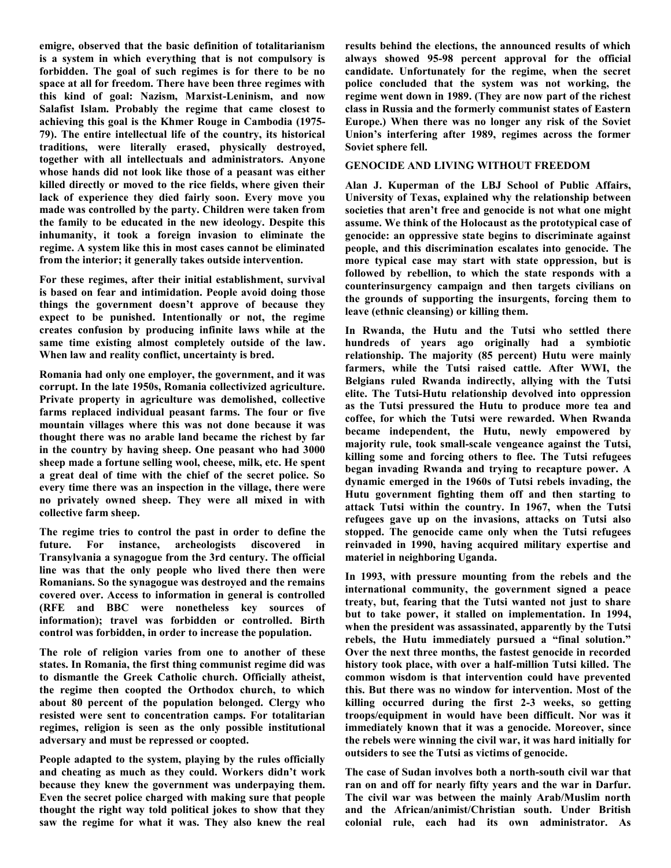**emigre, observed that the basic definition of totalitarianism is a system in which everything that is not compulsory is forbidden. The goal of such regimes is for there to be no space at all for freedom. There have been three regimes with this kind of goal: Nazism, Marxist-Leninism, and now Salafist Islam. Probably the regime that came closest to achieving this goal is the Khmer Rouge in Cambodia (1975- 79). The entire intellectual life of the country, its historical traditions, were literally erased, physically destroyed, together with all intellectuals and administrators. Anyone whose hands did not look like those of a peasant was either killed directly or moved to the rice fields, where given their lack of experience they died fairly soon. Every move you made was controlled by the party. Children were taken from the family to be educated in the new ideology. Despite this inhumanity, it took a foreign invasion to eliminate the regime. A system like this in most cases cannot be eliminated from the interior; it generally takes outside intervention.** 

**For these regimes, after their initial establishment, survival is based on fear and intimidation. People avoid doing those things the government doesn't approve of because they expect to be punished. Intentionally or not, the regime creates confusion by producing infinite laws while at the same time existing almost completely outside of the law. When law and reality conflict, uncertainty is bred.** 

**Romania had only one employer, the government, and it was corrupt. In the late 1950s, Romania collectivized agriculture. Private property in agriculture was demolished, collective farms replaced individual peasant farms. The four or five mountain villages where this was not done because it was thought there was no arable land became the richest by far in the country by having sheep. One peasant who had 3000 sheep made a fortune selling wool, cheese, milk, etc. He spent a great deal of time with the chief of the secret police. So every time there was an inspection in the village, there were no privately owned sheep. They were all mixed in with collective farm sheep.** 

**The regime tries to control the past in order to define the future. For instance, archeologists discovered in Transylvania a synagogue from the 3rd century. The official line was that the only people who lived there then were Romanians. So the synagogue was destroyed and the remains covered over. Access to information in general is controlled (RFE and BBC were nonetheless key sources of information); travel was forbidden or controlled. Birth control was forbidden, in order to increase the population.**

**The role of religion varies from one to another of these states. In Romania, the first thing communist regime did was to dismantle the Greek Catholic church. Officially atheist, the regime then coopted the Orthodox church, to which about 80 percent of the population belonged. Clergy who resisted were sent to concentration camps. For totalitarian regimes, religion is seen as the only possible institutional adversary and must be repressed or coopted.**

**People adapted to the system, playing by the rules officially and cheating as much as they could. Workers didn't work because they knew the government was underpaying them. Even the secret police charged with making sure that people thought the right way told political jokes to show that they saw the regime for what it was. They also knew the real** 

**results behind the elections, the announced results of which always showed 95-98 percent approval for the official candidate. Unfortunately for the regime, when the secret police concluded that the system was not working, the regime went down in 1989. (They are now part of the richest class in Russia and the formerly communist states of Eastern Europe.) When there was no longer any risk of the Soviet Union's interfering after 1989, regimes across the former Soviet sphere fell.**

## **GENOCIDE AND LIVING WITHOUT FREEDOM**

**[Alan J. Kuperman](http://www.utexas.edu/lbj/faculty/alan-kuperman/) of the LBJ School of Public Affairs, University of Texas, explained why the relationship between societies that aren't free and genocide is not what one might assume. We think of the Holocaust as the prototypical case of genocide: an oppressive state begins to discriminate against people, and this discrimination escalates into genocide. The more typical case may start with state oppression, but is followed by rebellion, to which the state responds with a counterinsurgency campaign and then targets civilians on the grounds of supporting the insurgents, forcing them to leave (ethnic cleansing) or killing them.** 

**In Rwanda, the Hutu and the Tutsi who settled there hundreds of years ago originally had a symbiotic relationship. The majority (85 percent) Hutu were mainly farmers, while the Tutsi raised cattle. After WWI, the Belgians ruled Rwanda indirectly, allying with the Tutsi elite. The Tutsi-Hutu relationship devolved into oppression as the Tutsi pressured the Hutu to produce more tea and coffee, for which the Tutsi were rewarded. When Rwanda became independent, the Hutu, newly empowered by majority rule, took small-scale vengeance against the Tutsi, killing some and forcing others to flee. The Tutsi refugees began invading Rwanda and trying to recapture power. A dynamic emerged in the 1960s of Tutsi rebels invading, the Hutu government fighting them off and then starting to attack Tutsi within the country. In 1967, when the Tutsi refugees gave up on the invasions, attacks on Tutsi also stopped. The genocide came only when the Tutsi refugees reinvaded in 1990, having acquired military expertise and materiel in neighboring Uganda.** 

**In 1993, with pressure mounting from the rebels and the international community, the government signed a peace treaty, but, fearing that the Tutsi wanted not just to share but to take power, it stalled on implementation. In 1994, when the president was assassinated, apparently by the Tutsi rebels, the Hutu immediately pursued a "final solution." Over the next three months, the fastest genocide in recorded history took place, with over a half-million Tutsi killed. The common wisdom is that intervention could have prevented this. But there was no window for intervention. Most of the killing occurred during the first 2-3 weeks, so getting troops/equipment in would have been difficult. Nor was it immediately known that it was a genocide. Moreover, since the rebels were winning the civil war, it was hard initially for outsiders to see the Tutsi as victims of genocide.**

**The case of Sudan involves both a north-south civil war that ran on and off for nearly fifty years and the war in Darfur. The civil war was between the mainly Arab/Muslim north and the African/animist/Christian south. Under British colonial rule, each had its own administrator. As**